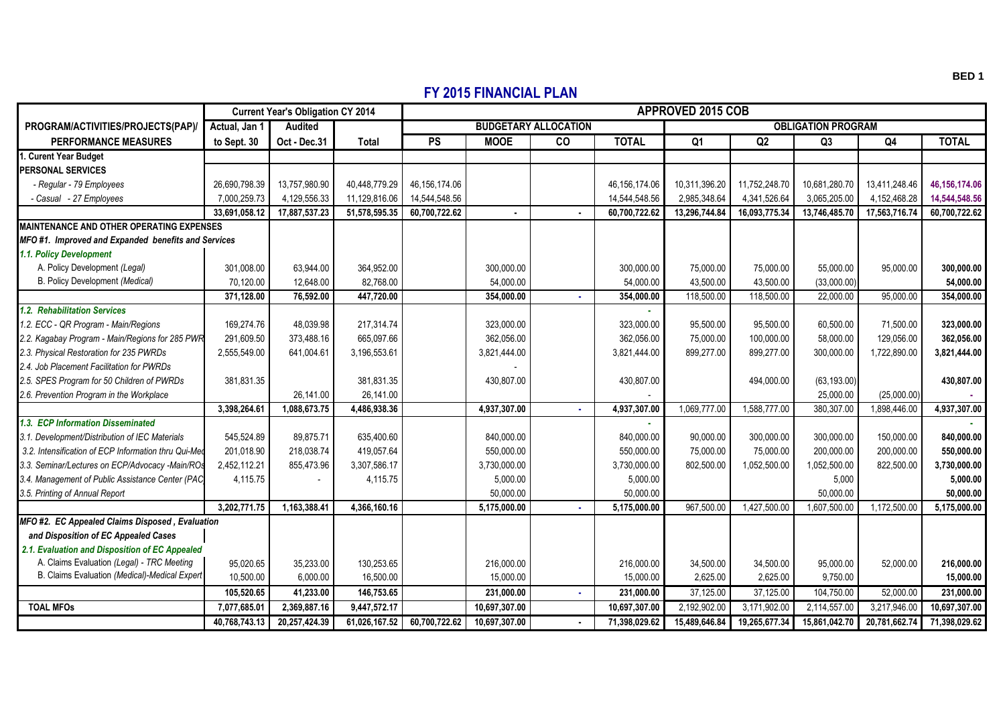## **FY 2015 FINANCIAL PLAN**

|                                                      | <b>Current Year's Obligation CY 2014</b> |                       |               | APPROVED 2015 COB           |                |                |                           |                 |               |               |               |                 |  |
|------------------------------------------------------|------------------------------------------|-----------------------|---------------|-----------------------------|----------------|----------------|---------------------------|-----------------|---------------|---------------|---------------|-----------------|--|
| PROGRAM/ACTIVITIES/PROJECTS(PAP)/                    | Actual, Jan 1                            | <b>Audited</b>        |               | <b>BUDGETARY ALLOCATION</b> |                |                | <b>OBLIGATION PROGRAM</b> |                 |               |               |               |                 |  |
| <b>PERFORMANCE MEASURES</b>                          | to Sept. 30                              | Oct - Dec.31          | Total         | PS                          | <b>MOOE</b>    | co             | <b>TOTAL</b>              | $\overline{Q1}$ | Q2            | Q3            | Q4            | <b>TOTAL</b>    |  |
| I. Curent Year Budget                                |                                          |                       |               |                             |                |                |                           |                 |               |               |               |                 |  |
| <b>PERSONAL SERVICES</b>                             |                                          |                       |               |                             |                |                |                           |                 |               |               |               |                 |  |
| - Regular - 79 Employees                             | 26,690,798.39                            | 13,757,980.90         | 40,448,779.29 | 46, 156, 174.06             |                |                | 46,156,174.06             | 10,311,396.20   | 11,752,248.70 | 10,681,280.70 | 13,411,248.46 | 46, 156, 174.06 |  |
| - Casual - 27 Employees                              | 7.000.259.73                             | 4,129,556.33          | 11,129,816.06 | 14,544,548.56               |                |                | 14,544,548.56             | 2,985,348.64    | 4,341,526.64  | 3,065,205.00  | 4,152,468.28  | 14,544,548.56   |  |
|                                                      | 33,691,058.12                            | 17,887,537.23         | 51,578,595.35 | 60,700,722.62               | $\blacksquare$ | $\blacksquare$ | 60,700,722.62             | 13,296,744.84   | 16,093,775.34 | 13,746,485.70 | 17,563,716.74 | 60,700,722.62   |  |
| <b>MAINTENANCE AND OTHER OPERATING EXPENSES</b>      |                                          |                       |               |                             |                |                |                           |                 |               |               |               |                 |  |
| MFO#1. Improved and Expanded benefits and Services   |                                          |                       |               |                             |                |                |                           |                 |               |               |               |                 |  |
| 1.1. Policy Development                              |                                          |                       |               |                             |                |                |                           |                 |               |               |               |                 |  |
| A. Policy Development (Legal)                        | 301.008.00                               | 63.944.00             | 364.952.00    |                             | 300.000.00     |                | 300.000.00                | 75.000.00       | 75.000.00     | 55.000.00     | 95.000.00     | 300.000.00      |  |
| B. Policy Development (Medical)                      | 70,120.00                                | 12,648.00             | 82,768.00     |                             | 54,000.00      |                | 54,000.00                 | 43,500.00       | 43,500.00     | (33,000.00)   |               | 54,000.00       |  |
|                                                      | 371.128.00                               | 76.592.00             | 447.720.00    |                             | 354.000.00     | $\mathbf{r}$   | 354,000.00                | 118.500.00      | 118.500.00    | 22.000.00     | 95.000.00     | 354.000.00      |  |
| 1.2. Rehabilitation Services                         |                                          |                       |               |                             |                |                |                           |                 |               |               |               |                 |  |
| 1.2. ECC - QR Program - Main/Regions                 | 169,274.76                               | 48,039.98             | 217,314.74    |                             | 323,000.00     |                | 323,000.00                | 95,500.00       | 95,500.00     | 60,500.00     | 71,500.00     | 323,000.00      |  |
| 2.2. Kagabay Program - Main/Regions for 285 PWR      | 291,609.50                               | 373.488.16            | 665,097.66    |                             | 362,056.00     |                | 362.056.00                | 75,000.00       | 100.000.00    | 58,000.00     | 129.056.00    | 362.056.00      |  |
| 2.3. Physical Restoration for 235 PWRDs              | 2,555,549.00                             | 641,004.61            | 3,196,553.61  |                             | 3,821,444.00   |                | 3,821,444.00              | 899,277.00      | 899,277.00    | 300,000.00    | 1,722,890.00  | 3,821,444.00    |  |
| 2.4. Job Placement Facilitation for PWRDs            |                                          |                       |               |                             |                |                |                           |                 |               |               |               |                 |  |
| 2.5. SPES Program for 50 Children of PWRDs           | 381,831.35                               |                       | 381,831.35    |                             | 430,807.00     |                | 430,807.00                |                 | 494,000.00    | (63, 193.00)  |               | 430,807.00      |  |
| 2.6. Prevention Program in the Workplace             |                                          | 26.141.00             | 26,141.00     |                             |                |                |                           |                 |               | 25,000.00     | (25,000.00)   |                 |  |
|                                                      | 3,398,264.61                             | 1,088,673.75          | 4,486,938.36  |                             | 4,937,307.00   | ×.             | 4,937,307.00              | 1,069,777.00    | 1,588,777.00  | 380,307.00    | 1,898,446.00  | 4,937,307.00    |  |
| 1.3. ECP Information Disseminated                    |                                          |                       |               |                             |                |                |                           |                 |               |               |               |                 |  |
| 3.1. Development/Distribution of IEC Materials       | 545,524.89                               | 89,875.71             | 635.400.60    |                             | 840,000.00     |                | 840.000.00                | 90,000.00       | 300,000.00    | 300,000.00    | 150,000.00    | 840.000.00      |  |
| 3.2. Intensification of ECP Information thru Qui-Med | 201,018.90                               | 218,038.74            | 419,057.64    |                             | 550,000.00     |                | 550,000.00                | 75,000.00       | 75,000.00     | 200,000.00    | 200,000.00    | 550,000.00      |  |
| 3.3. Seminar/Lectures on ECP/Advocacy -Main/ROs      | 2,452,112.21                             | 855,473.96            | 3.307.586.17  |                             | 3,730,000.00   |                | 3.730.000.00              | 802,500.00      | 1,052,500.00  | 1,052,500.00  | 822,500.00    | 3,730,000.00    |  |
| 3.4. Management of Public Assistance Center (PAC)    | 4,115.75                                 | $\tilde{\phantom{a}}$ | 4,115.75      |                             | 5,000.00       |                | 5,000.00                  |                 |               | 5,000         |               | 5,000.00        |  |
| 3.5. Printing of Annual Report                       |                                          |                       |               |                             | 50,000.00      |                | 50,000.00                 |                 |               | 50,000.00     |               | 50,000.00       |  |
|                                                      | 3,202,771.75                             | 1.163.388.41          | 4,366,160.16  |                             | 5,175,000.00   | $\mathbf{r}$   | 5,175,000.00              | 967,500.00      | 1,427,500.00  | 1,607,500.00  | 1,172,500.00  | 5,175,000.00    |  |
| MFO#2. EC Appealed Claims Disposed, Evaluation       |                                          |                       |               |                             |                |                |                           |                 |               |               |               |                 |  |
| and Disposition of EC Appealed Cases                 |                                          |                       |               |                             |                |                |                           |                 |               |               |               |                 |  |
| 2.1. Evaluation and Disposition of EC Appealed       |                                          |                       |               |                             |                |                |                           |                 |               |               |               |                 |  |
| A. Claims Evaluation (Legal) - TRC Meeting           | 95.020.65                                | 35.233.00             | 130.253.65    |                             | 216,000.00     |                | 216.000.00                | 34,500.00       | 34.500.00     | 95.000.00     | 52.000.00     | 216.000.00      |  |
| B. Claims Evaluation (Medical)-Medical Expert        | 10,500.00                                | 6,000.00              | 16,500.00     |                             | 15,000.00      |                | 15,000.00                 | 2,625.00        | 2,625.00      | 9,750.00      |               | 15,000.00       |  |
|                                                      | 105,520.65                               | 41,233.00             | 146,753.65    |                             | 231,000.00     | ×.             | 231,000.00                | 37,125.00       | 37,125.00     | 104,750.00    | 52,000.00     | 231,000.00      |  |
| <b>TOAL MFOs</b>                                     | 7,077,685.01                             | 2,369,887.16          | 9,447,572.17  |                             | 10,697,307.00  |                | 10,697,307.00             | 2,192,902.00    | 3,171,902.00  | 2,114,557.00  | 3,217,946.00  | 10,697,307.00   |  |
|                                                      | 40,768,743.13                            | 20,257,424.39         | 61,026,167.52 | 60,700,722.62               | 10,697,307.00  | $\blacksquare$ | 71,398,029.62             | 15,489,646.84   | 19,265,677.34 | 15,861,042.70 | 20,781,662.74 | 71,398,029.62   |  |

**BED 1**